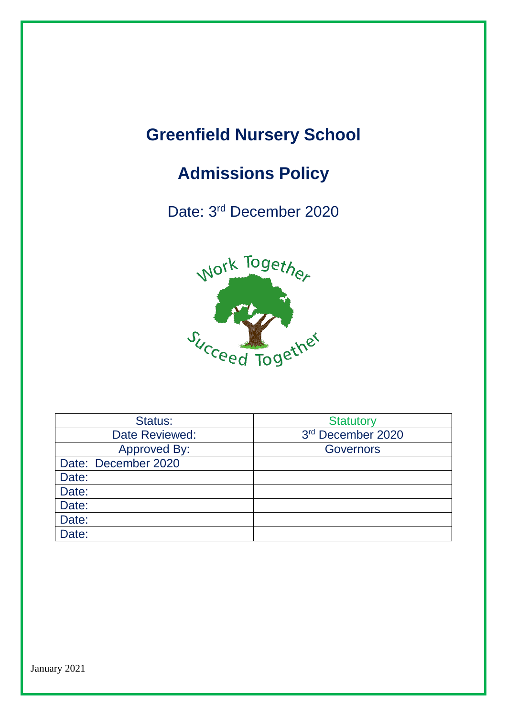## **Greenfield Nursery School**

# **Admissions Policy**

Date: 3<sup>rd</sup> December 2020



| Status:             | <b>Statutory</b>  |
|---------------------|-------------------|
| Date Reviewed:      | 3rd December 2020 |
| <b>Approved By:</b> | <b>Governors</b>  |
| Date: December 2020 |                   |
| Date:               |                   |
| Date:               |                   |
| Date:               |                   |
| Date:               |                   |
| Date:               |                   |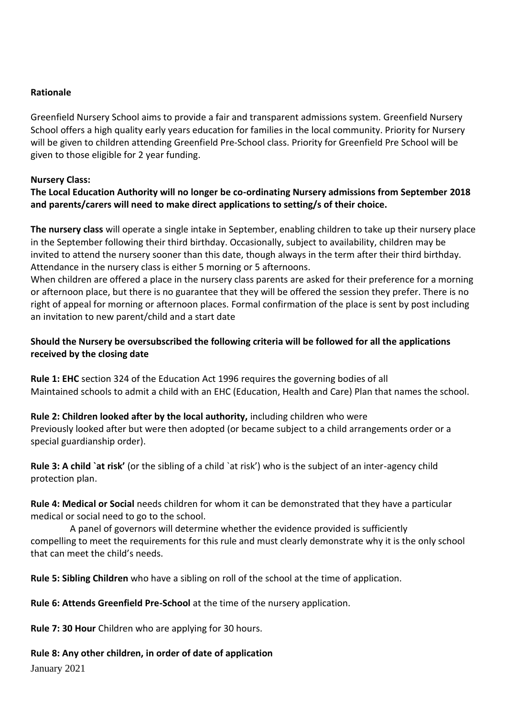### **Rationale**

Greenfield Nursery School aims to provide a fair and transparent admissions system. Greenfield Nursery School offers a high quality early years education for families in the local community. Priority for Nursery will be given to children attending Greenfield Pre-School class. Priority for Greenfield Pre School will be given to those eligible for 2 year funding.

### **Nursery Class:**

### **The Local Education Authority will no longer be co-ordinating Nursery admissions from September 2018 and parents/carers will need to make direct applications to setting/s of their choice.**

**The nursery class** will operate a single intake in September, enabling children to take up their nursery place in the September following their third birthday. Occasionally, subject to availability, children may be invited to attend the nursery sooner than this date, though always in the term after their third birthday. Attendance in the nursery class is either 5 morning or 5 afternoons.

When children are offered a place in the nursery class parents are asked for their preference for a morning or afternoon place, but there is no guarantee that they will be offered the session they prefer. There is no right of appeal for morning or afternoon places. Formal confirmation of the place is sent by post including an invitation to new parent/child and a start date

### **Should the Nursery be oversubscribed the following criteria will be followed for all the applications received by the closing date**

**Rule 1: EHC** section 324 of the Education Act 1996 requires the governing bodies of all Maintained schools to admit a child with an EHC (Education, Health and Care) Plan that names the school.

### **Rule 2: Children looked after by the local authority,** including children who were

Previously looked after but were then adopted (or became subject to a child arrangements order or a special guardianship order).

**Rule 3: A child `at risk'** (or the sibling of a child `at risk') who is the subject of an inter-agency child protection plan.

**Rule 4: Medical or Social** needs children for whom it can be demonstrated that they have a particular medical or social need to go to the school.

 A panel of governors will determine whether the evidence provided is sufficiently compelling to meet the requirements for this rule and must clearly demonstrate why it is the only school that can meet the child's needs.

**Rule 5: Sibling Children** who have a sibling on roll of the school at the time of application.

**Rule 6: Attends Greenfield Pre-School** at the time of the nursery application.

**Rule 7: 30 Hour** Children who are applying for 30 hours.

### **Rule 8: Any other children, in order of date of application**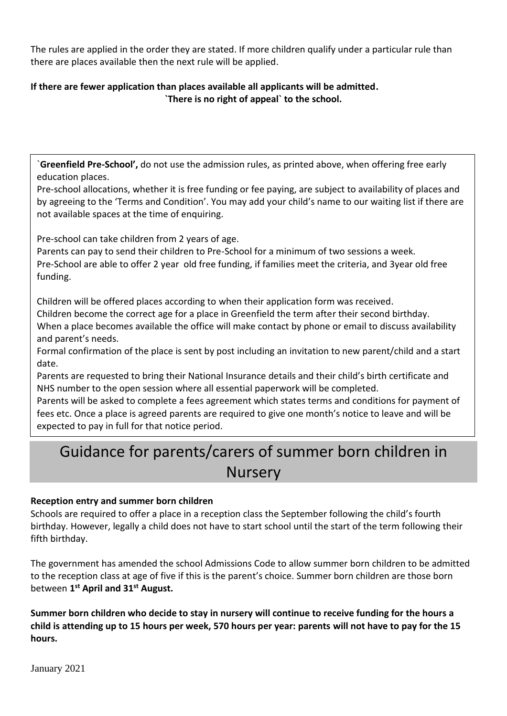The rules are applied in the order they are stated. If more children qualify under a particular rule than there are places available then the next rule will be applied.

### **If there are fewer application than places available all applicants will be admitted. `There is no right of appeal` to the school.**

`**Greenfield Pre-School',** do not use the admission rules, as printed above, when offering free early education places.

Pre-school allocations, whether it is free funding or fee paying, are subject to availability of places and by agreeing to the 'Terms and Condition'. You may add your child's name to our waiting list if there are not available spaces at the time of enquiring.

Pre-school can take children from 2 years of age.

Parents can pay to send their children to Pre-School for a minimum of two sessions a week. Pre-School are able to offer 2 year old free funding, if families meet the criteria, and 3year old free funding.

Children will be offered places according to when their application form was received. Children become the correct age for a place in Greenfield the term after their second birthday. When a place becomes available the office will make contact by phone or email to discuss availability and parent's needs.

Formal confirmation of the place is sent by post including an invitation to new parent/child and a start date.

Parents are requested to bring their National Insurance details and their child's birth certificate and NHS number to the open session where all essential paperwork will be completed.

Parents will be asked to complete a fees agreement which states terms and conditions for payment of fees etc. Once a place is agreed parents are required to give one month's notice to leave and will be expected to pay in full for that notice period.

### Guidance for parents/carers of summer born children in **Nursery**

### **Reception entry and summer born children**

Schools are required to offer a place in a reception class the September following the child's fourth birthday. However, legally a child does not have to start school until the start of the term following their fifth birthday.

The government has amended the school Admissions Code to allow summer born children to be admitted to the reception class at age of five if this is the parent's choice. Summer born children are those born between **1 st April and 31st August.**

**Summer born children who decide to stay in nursery will continue to receive funding for the hours a child is attending up to 15 hours per week, 570 hours per year: parents will not have to pay for the 15 hours.**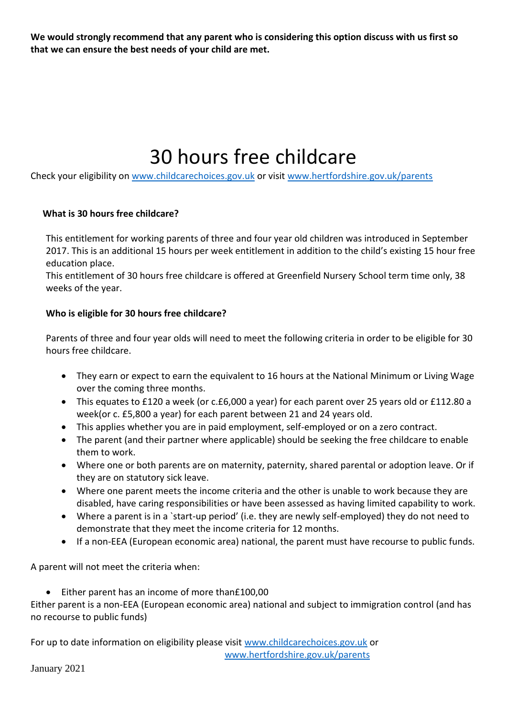**We would strongly recommend that any parent who is considering this option discuss with us first so that we can ensure the best needs of your child are met.**

# 30 hours free childcare

Check your eligibility on [www.childcarechoices.gov.uk](http://www.childcarechoices.gov.uk/) or visit [www.hertfordshire.gov.uk/parents](http://www.hertfordshire.gov.uk/parents)

### **What is 30 hours free childcare?**

This entitlement for working parents of three and four year old children was introduced in September 2017. This is an additional 15 hours per week entitlement in addition to the child's existing 15 hour free education place.

This entitlement of 30 hours free childcare is offered at Greenfield Nursery School term time only, 38 weeks of the year.

### **Who is eligible for 30 hours free childcare?**

Parents of three and four year olds will need to meet the following criteria in order to be eligible for 30 hours free childcare.

- They earn or expect to earn the equivalent to 16 hours at the National Minimum or Living Wage over the coming three months.
- This equates to £120 a week (or c.£6,000 a year) for each parent over 25 years old or £112.80 a week(or c. £5,800 a year) for each parent between 21 and 24 years old.
- This applies whether you are in paid employment, self-employed or on a zero contract.
- The parent (and their partner where applicable) should be seeking the free childcare to enable them to work.
- Where one or both parents are on maternity, paternity, shared parental or adoption leave. Or if they are on statutory sick leave.
- Where one parent meets the income criteria and the other is unable to work because they are disabled, have caring responsibilities or have been assessed as having limited capability to work.
- Where a parent is in a `start-up period' (i.e. they are newly self-employed) they do not need to demonstrate that they meet the income criteria for 12 months.
- If a non-EEA (European economic area) national, the parent must have recourse to public funds.

A parent will not meet the criteria when:

● Either parent has an income of more than£100,00

Either parent is a non-EEA (European economic area) national and subject to immigration control (and has no recourse to public funds)

For up to date information on eligibility please visit [www.childcarechoices.gov.uk](http://www.childcarechoices.gov.uk/) or [www.hertfordshire.gov.uk/parents](http://www.hertfordshire.gov.uk/parents)